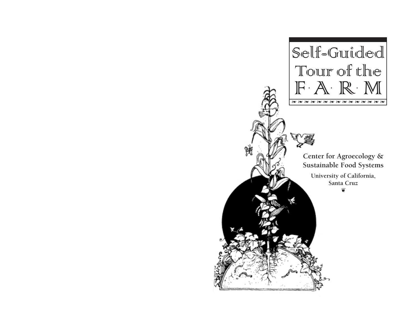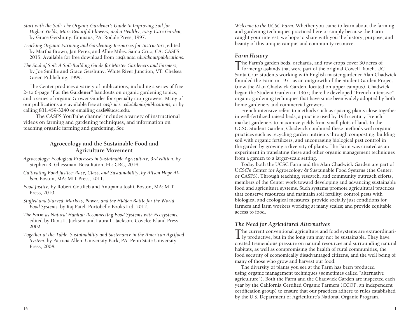- *Start with the Soil: The Organic Gardener's Guide to Improving Soil for Higher Yields, More Beautiful Flowers, and a Healthy, Easy-Care Garden,*  by Grace Gershuny. Emmaus, PA: Rodale Press, 1997.
- *Teaching Organic Farming and Gardening: Resources for Instructors*, edited by Martha Brown, Jan Perez, and Albie Miles. Santa Cruz, CA: CASFS, 2015. Available for free download from *casfs.ucsc.edu/about/publications*.
- *The Soul of Soil: A Soil-Building Guide for Master Gardeners and Farmers,*  by Joe Smillie and Grace Gershuny. White River Junction, VT: Chelsea Green Publishing, 1999.

The Center produces a variety of publications, including a series of free 2- to 6-page *"***For the Gardener"** handouts on organic gardening topics, and a series of organic Grower Guides for specialty crop growers. Many of our publications are available free at *casfs.ucsc.edu/about/publications,* or by calling 831.459-3240 or emailing casfs@ucsc.edu.

The CASFS YouTube channel includes a variety of instructional videos on farming and gardening techniques, and information on teaching organic farming and gardening. See

#### **Agroecology and the Sustainable Food and Agriculture Movement**

- *Agroecology: Ecological Processes in Sustainable Agriculture, 3rd edition.* by Stephen R. Gliessman. Boca Raton, FL: CRC, 2014.
- *Cultivating Food Justice: Race, Class, and Sustainability, by Alison Hope Alkon.* Boston, MA: MIT Press, 2011.
- *Food Justice,* by Robert Gottlieb and Anupama Joshi. Boston, MA: MIT Press, 2010.
- *Stuffed and Starved: Markets, Power, and the Hidden Battle for the World Food Systems,* by Raj Patel. Portobello Books Ltd. 2012.
- *The Farm as Natural Habitat: Reconnecting Food Systems with Ecosystems,*  edited by Dana L. Jackson and Laura L. Jackson. Covelo: Island Press, 2002.
- *Together at the Table: Sustainability and Sustenance in the American Agrifood System*, by Patricia Allen. University Park, PA: Penn State University Press, 2004.

*Welcome to the UCSC Farm.* Whether you came to learn about the farming and gardening techniques practiced here or simply because the Farm caught your interest, we hope to share with you the history, purpose, and beauty of this unique campus and community resource.

### *Farm History*

The Farm's garden beds, orchards, and row crops cover 30 acres of former grasslands that were part of the original Cowell Ranch. UC Santa Cruz students working with English master gardener Alan Chadwick founded the Farm in 1971 as an outgrowth of the Student Garden Project (now the Alan Chadwick Garden, located on upper campus). Chadwick began the Student Garden in 1967; there he developed "French intensive" organic gardening techniques that have since been widely adopted by both home gardeners and commercial growers.

French intensive refers to methods such as spacing plants close together in well-fertilized raised beds, a practice used by 19th century French market gardeners to maximize yields from small plots of land. In the UCSC Student Garden, Chadwick combined these methods with organic practices such as recycling garden nutrients through composting, building soil with organic fertilizers, and encouraging biological pest control in the garden by growing a diversity of plants. The Farm was created as an experiment in translating these and other organic management techniques from a garden to a larger-scale setting.

Today both the UCSC Farm and the Alan Chadwick Garden are part of UCSC's Center for Agroecology & Sustainable Food Systems (the Center, or CASFS). Through teaching, research, and community outreach efforts, members of the Center work toward developing and advancing sustainable food and agriculture systems. Such systems promote agricultural practices that conserve resources and maintain soil fertility; control pests with biological and ecological measures; provide socially just conditions for farmers and farm workers working at many scales; and provide equitable access to food.

## *The Need for Agricultural Alternatives*

The current conventional agriculture and food systems are extraordinari-ly productive, but in the long run may not be sustainable. They have created tremendous pressure on natural resources and surrounding natural habitats, as well as compromising the health of rural communities, the food security of economically disadvantaged citizens, and the well being of many of those who grow and harvest our food.

The diversity of plants you see at the Farm has been produced using organic management techniques (sometimes called "alternative agriculture"). Both the Farm and the Chadwick Garden are inspected each year by the California Certified Organic Farmers (CCOF, an independent certification group) to ensure that our practices adhere to rules established by the U.S. Department of Agriculture's National Organic Program.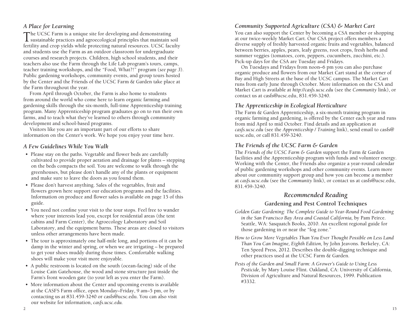## *A Place for Learning*

The UCSC Farm is a unique site for developing and demonstrating sustainable practices and agroecological principles that maintain soil fertility and crop yields while protecting natural resources. UCSC faculty and students use the Farm as an outdoor classroom for undergraduate courses and research projects. Children, high school students, and their teachers also use the Farm through the Life Lab program's tours, camps, teacher training workshops, and the "Food, What?!" program (*see page 3*). Public gardening workshops, community events, and group tours hosted by the Center and the Friends of the UCSC Farm & Garden take place at the Farm throughout the year.

From April through October, the Farm is also home to students from around the world who come here to learn organic farming and gardening skills through the six-month, full-time Apprenticeship training program. Many Apprenticeship program graduates go on to run their own farms, and to teach what they've learned to others through community development and school-based programs.

Visitors like you are an important part of our efforts to share information on the Center's work. We hope you enjoy your time here.

### *A Few Guidelines While You Walk*

- Please stay on the paths. Vegetable and flower beds are carefully cultivated to provide proper aeration and drainage for plants – stepping on the beds compacts the soil. You are welcome to walk through the greenhouses, but please don't handle any of the plants or equipment and make sure to leave the doors as you found them.
- Please don't harvest anything. Sales of the vegetables, fruit and flowers grown here support our education programs and the facilities. Information on produce and flower sales is available on page 15 of this guide.
- You need not confine your visit to the tour stops. Feel free to wander where your interests lead you, except for residential areas (the tent cabins and Farm Center), the Agroecology Laboratory and Soil Laboratory, and the equipment barns. These areas are closed to visitors unless other arrangements have been made.
- The tour is approximately one half-mile long, and portions of it can be damp in the winter and spring, or when we are irrigating – be prepared to get your shoes muddy during those times. Comfortable walking shoes will make your visit more enjoyable.
- A public restroom is located on the south (ocean-facing) side of the Louise Cain Gatehouse, the wood and stone structure just inside the Farm's front wooden gate (to your left as you enter the Farm).
- More information about the Center and upcoming events is available at the CASFS Farm office, open Monday–Friday, 9 am–5 pm, or by contacting us at 831.459-3240 or casfs@ucsc.edu. You can also visit our website for information, *casfs.ucsc.edu.*

### *Community Supported Agriculture (CSA) & Market Cart*

You can also support the Center by becoming a CSA member or shopping at our twice-weekly Market Cart. Our CSA project offers members a diverse supply of freshly harvested organic fruits and vegetables, balanced between berries, apples, pears, leafy greens, root crops, fresh herbs and summer veggies (tomatoes, corn, peppers, cucumbers, zucchini, etc.). Pick-up days for the CSA are Tuesday and Fridays.

On Tuesdays and Fridays from noon–6 pm you can also purchase organic produce and flowers from our Market Cart stand at the corner of Bay and High Streets at the base of the UCSC campus. The Market Cart runs from early June through October. More information on the CSA and Market Cart is available at *http://casfs.ucsc.edu* (see the *Community* link), or contact us at casfs@ucsc.edu, 831.459-3240.

### *The Apprenticeship in Ecological Horticulture*

The Farm & Garden Apprenticeship, a six-month training program in organic farming and gardening, is offered by the Center each year and runs from mid April to mid October. Find details and an application at *casfs.ucsc.edu* (see the *Apprenticeship / Training* link), send email to casfs@ ucsc.edu, or call 831.459-3240.

## *The Friends of the UCSC Farm & Garden*

The *Friends of the UCSC Farm & Garden* support the Farm & Garden facilities and the Apprenticeship program with funds and volunteer energy. Working with the Center, the Friends also organize a year-round calendar of public gardening workshops and other community events. Learn more about our community support group and how you can become a member at *casfs.ucsc.edu* (see the *Community* link), or contact us at casfs@ucsc.edu, 831.459-3240.

# *Recommended Reading*

## **Gardening and Pest Control Techniques**

- *Golden Gate Gardening: The Complete Guide to Year-Round Food Gardening in the San Francisco Bay Area and Coastal California,* by Pam Peirce. Seattle, WA: Sasquatch Books, 2010. An excellent regional guide for those gardening in or near the "fog zone."
- *How to Grow More Vegetables Than You Ever Thought Possible on Less Land Than You Can Imagine, Eighth Edition,* by John Jeavons. Berkeley, CA: Ten Speed Press, 2012. Describes the double-digging technique and other practices used at the UCSC Farm & Garden.
- *Pests of the Garden and Small Farm: A Grower's Guide to Using Less Pesticide,* by Mary Louise Flint. Oakland, CA: University of California, Division of Agriculture and Natural Resources, 1999. Publication #3332.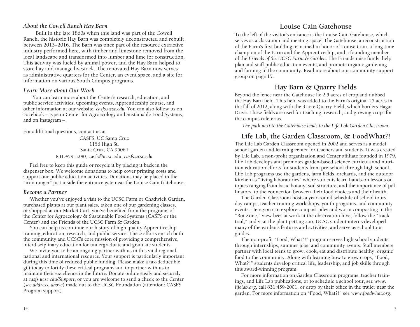### *About the Cowell Ranch Hay Barn*

Built in the late 1860s when this land was part of the Cowell Ranch, the historic Hay Barn was completely deconstructed and rebuilt between 2013–2016. The Barn was once part of the resource extractive industry performed here, with timber and limestone removed from the local landscape and transformed into lumber and lime for construction. This activity was fueled by animal power, and the Hay Barn helped to store hay and manage livestock. The renovated Hay Barn now serves as administrative quarters for the Center, an event space, and a site for information on various South Campus programs.

#### *Learn More about Our Work*

You can learn more about the Center's research, education, and public service activities, upcoming events, Apprenticeship course, and other information at our website: *casfs.ucsc.edu.* You can also follow us on Facebook – type in Center for Agroecology and Sustainable Food Systems, and on Instagram – .

For additional questions, contact us at –

CASFS, UC Santa Cruz 1156 High St. Santa Cruz, CA 95064 831.459-3240, casfs@ucsc.edu, *casfs.ucsc.edu*

Feel free to keep this guide or recycle it by placing it back in the dispenser box. We welcome donations to help cover printing costs and support our public education activities. Donations may be placed in the "iron ranger" just inside the entrance gate near the Louise Cain Gatehouse.

#### *Become a Partner*

 Whether you've enjoyed a visit to the UCSC Farm or Chadwick Garden, purchased plants at our plant sales, taken one of our gardening classes, or shopped at our Market Cart, you've benefited from the programs of the Center for Agroecology & Sustainable Food Systems (CASFS or the Center) and the Friends of the UCSC Farm & Garden.

You can help us continue our history of high quality Apprenticeship training, education, research, and public service. These efforts enrich both the community and UCSC's core mission of providing a comprehensive, interdisciplinary education for undergraduate and graduate students.

We invite you to be an ongoing partner with us in this vital regional, national and international resource. Your support is particularly important during this time of reduced public funding. Please make a tax-deductible gift today to fortify these critical programs and to partner with us to maintain their excellence in the future. Donate online easily and securely at *casfs.ucsc.edu/Support*, or you are welcome to send a check to the Center (*see address, above*) made out to the UCSC Foundation (attention: CASFS Program support).

## **Louise Cain Gatehouse**

To the left of the visitor's entrance is the Louise Cain Gatehouse, which serves as a classroom and meeting space. The Gatehouse, a reconstruction of the Farm's first building, is named in honor of Louise Cain, a long-time champion of the Farm and the Apprenticeship, and a founding member of the *Friends of the UCSC Farm & Garden*. The Friends raise funds, help plan and staff public education events, and promote organic gardening and farming in the community. Read more about our community support group on page 15.

# **Hay Barn & Quarry Fields**

Beyond the fence near the Gatehouse lie 2.5 acres of cropland dubbed the Hay Barn field. This field was added to the Farm's original 25 acres in the fall of 2012, along with the 3 acre Quarry Field, which borders Hagar Drive. These fields are used for teaching, research, and growing crops for the campus cafeterias.

*The path next to the Gatehouse leads to the Life Lab Garden Classroom.*

## **Life Lab, the Garden Classroom, & FoodWhat?!**

The Life Lab Garden Classroom opened in 2002 and serves as a model school garden and learning center for teachers and students. It was created by Life Lab, a non-profit organization and Center affiliate founded in 1979. Life Lab develops and promotes garden-based science curricula and nutrition education efforts for students from pre-school through high school. Life Lab programs use the gardens, farm fields, orchards, and the outdoor kitchen as "living laboratories" where students learn hands-on lessons on topics ranging from basic botany, soil structure, and the importance of pollinators, to the connection between their food choices and their health.

The Garden Classroom hosts a year-round schedule of school tours, day camps, teacher training workshops, youth programs, and community events. Here you can explore compost piles and worm composting in the "Rot Zone," view bees at work at the observation hive, follow the "track trail," and visit the plant petting zoo. UCSC student interns developed many of the garden's features and activities, and serve as school tour guides.

The non-profit "Food, What?!" program serves high school students through internships, summer jobs, and community events. Staff members partner with local teens to grow, cook, eat and distribute healthy, organic food to the community. Along with learning how to grow crops, "Food, What?!" students develop critical life, leadership, and job skills through this award-winning program.

For more information on Garden Classroom programs, teacher trainings, and Life Lab publications, or to schedule a school tour, see *www. lifelab.org*, call 831.459-2001, or drop by their office in the trailer near the garden. For more information on "Food, What?!" see *www.foodwhat.org*.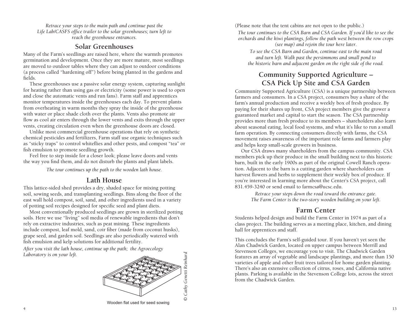*Retrace your steps to the main path and continue past the Life Lab/CASFS office trailer to the solar greenhouses; turn left to reach the greenhouse entrances.*

## **Solar Greenhouses**

Many of the Farm's seedlings are raised here, where the warmth promotes germination and development. Once they are more mature, most seedlings are moved to outdoor tables where they can adjust to outdoor conditions (a process called "hardening off") before being planted in the gardens and fields.

These greenhouses use a passive solar energy system, capturing sunlight for heating rather than using gas or electricity (some power is used to open and close the automatic vents and run fans). Farm staff and apprentices monitor temperatures inside the greenhouses each day. To prevent plants from overheating in warm months they spray the inside of the greenhouse with water or place shade cloth over the plants. Vents also promote air flow as cool air enters through the lower vents and exits through the upper vents, creating circulation even when the greenhouse doors are closed.

Unlike most commercial greenhouse operations that rely on synthetic chemical pesticides and fertilizers, Farm staff use organic techniques such as "sticky traps" to control whiteflies and other pests, and compost "tea" or fish emulsion to promote seedling growth.

Feel free to step inside for a closer look; please leave doors and vents the way you find them, and do not disturb the plants and plant labels.

*The tour continues up the path to the wooden lath house.*

## **Lath House**

This lattice-sided shed provides a dry, shaded space for mixing potting soil, sowing seeds, and transplanting seedlings. Bins along the floor of the east wall hold compost, soil, sand, and other ingredients used in a variety of potting soil recipes designed for specific seed and plant diets.

Most conventionally produced seedlings are grown in sterilized potting soils. Here we use "living" soil media of renewable ingredients that don't rely on extractive industries, such as peat mining. These ingredients include compost, leaf mold, sand, coir fiber (made from coconut husks), grape seed, and garden soil. Seedlings are also periodically watered with fish emulsion and kelp solutions for additional fertility.

*After you visit the lath house, continue up the path; the Agroecology Laboratory is on your left.*



*© Cathy Genetti Reinhard*

Wooden flat used for seed sowing

(Please note that the tent cabins are not open to the public.)

*The tour continues to the CSA Barn and CSA Garden. If you'd like to see the orchards and the kiwi plantings, follow the path west between the row crops (see map) and rejoin the tour here later.* 

*To see the CSA Barn and Garden, continue east to the main road and turn left. Walk past the persimmons and small pond to the historic barn and adjacent garden on the right side of the road.*

# **Community Supported Agriculture – CSA Pick Up Site and CSA Garden**

Community Supported Agriculture (CSA) is a unique partnership between farmers and consumers. In a CSA project, consumers buy a share of the farm's annual production and receive a weekly box of fresh produce. By paying for their shares up front, CSA project members give the grower a guaranteed market and capital to start the season. The CSA partnership provides more than fresh produce to its members *–* shareholders also learn about seasonal eating, local food systems, and what it's like to run a small farm operation. By connecting consumers directly with farms, the CSA movement raises awareness of the important role farms and farmers play and helps keep small-scale growers in business.

Our CSA draws many shareholders from the campus community. CSA members pick up their produce in the small building next to this historic barn, built in the early 1900s as part of the original Cowell Ranch operation. Adjacent to the barn is a cutting garden where shareholders can harvest flowers and herbs to supplement their weekly box of produce. If you're interested in learning more about the Center's CSA project, call 831.459-3240 or send email to farmcsa@ucsc.edu.

*Retrace your steps down the road toward the entrance gate. The Farm Center is the two-story wooden building on your left.*

# **Farm Center**

Students helped design and build the Farm Center in 1974 as part of a class project. The building serves as a meeting place, kitchen, and dining hall for apprentices and staff.

This concludes the Farm's self-guided tour. If you haven't yet seen the Alan Chadwick Garden, located on upper campus between Merrill and Stevenson Colleges, we encourage you to visit. The Chadwick Garden features an array of vegetable and landscape plantings, and more than 150 varieties of apple and other fruit trees tailored for home garden planting. There's also an extensive collection of citrus, roses, and California native plants. Parking is available in the Stevenson College lots, across the street from the Chadwick Garden.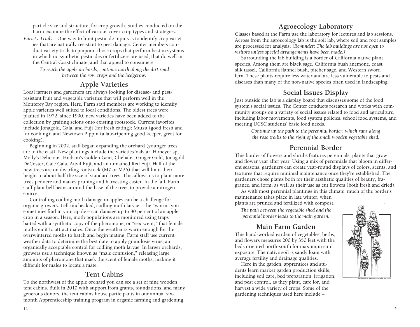particle size and structure, for crop growth. Studies conducted on the Farm examine the effect of various cover crop types and strategies.

*Variety Trials –* One way to limit pesticide inputs is to identify crop varieties that are naturally resistant to pest damage. Center members conduct variety trials to pinpoint those crops that perform best in systems in which no synthetic pesticides or fertilizers are used, that do well in the Central Coast climate, and that appeal to consumers.

*To reach the apple orchards, continue north along the dirt road between the row crops and the hedgerow.*

# **Apple Varieties**

Local farmers and gardeners are always looking for disease- and pestresistant fruit and vegetable varieties that will perform well in the Monterey Bay region. Here, Farm staff members are working to identify apple varieties well suited to local conditions. The oldest trees were planted in 1972; since 1990, new varieties have been added to the collection by grafting scions onto existing rootstock. Current favorites include Jonagold, Gala, and Fuji (for fresh eating); Mutsu (good fresh and for cooking); and Newtown Pippin (a late-ripening good keeper, great for cooking).

Beginning in 2002, staff began expanding the orchard (younger trees are to the east). New plantings include the varieties Valstar, Honeycrisp, Molly's Delicious, Hudson's Golden Gem, Chehalis, Ginger Gold, Jonagold DeCoster, Gale Gala, Auvil Fuji, and an unnamed Red Fuji. Half of the new trees are on dwarfing rootstock (M7 or M26) that will limit their height to about half the size of standard trees. This allows us to plant more trees per acre and makes pruning and harvesting easier. In the fall, Farm staff plant bell beans around the base of the trees to provide a nitrogen source.

Controlling codling moth damage in apples can be a challenge for organic growers. Left unchecked, codling moth larvae *–* the "worm" you sometimes find in your apple *–* can damage up to 80 percent of an apple crop in a season. Here, moth populations are monitored using traps baited with a synthetic copy of the pheromone, or "sex scent," that female moths emit to attract males. Once the weather is warm enough for the overwintered moths to hatch and begin mating, Farm staff use current weather data to determine the best date to apply granulosis virus, an organically acceptable control for codling moth larvae. In larger orchards, growers use a technique known as "male confusion," releasing large amounts of pheromone that mask the scent of female moths, making it difficult for males to locate a mate.

# **Tent Cabins**

To the northwest of the apple orchard you can see a set of nine wooden tent cabins. Built in 2010 with support from grants, foundations, and many generous donors, the tent cabins house participants in our annual sixmonth Apprenticeship training program in organic farming and gardening.

# **Agroecology Laboratory**

Classes based at the Farm use the laboratory for lectures and lab sessions. Across from the agroecology lab is the soil lab, where soil and root samples are processed for analysis. *(Reminder: The lab buildings are not open to visitors unless special arrangements have been made.)*

Surrounding the lab building is a border of California native plant species. Among them are black sage, California bush anemone, coast silk tassel, California flannel bush, pitcher sage, and Western sword fern. These plants require less water and are less vulnerable to pests and diseases than many of the non-native species often used in landscaping.

# **Social Issues Display**

Just outside the lab is a display board that discusses some of the food system's social issues. The Center conducts research and works with community groups on a variety of social issues related to food and agriculture, including labor movements, food system policies, school food systems, and meeting UCSC students' basic food needs.

*Continue up the path to the perennial border, which runs along the rose trellis to the right of the small wooden vegetable shed.*

# **Perennial Border**

This border of flowers and shrubs features perennials, plants that grow and flower year after year. Using a mix of perennials that bloom in different seasons, gardeners can create year-round displays of colors, scents, and textures that require minimal maintenance once they're established. The gardeners chose plants both for their aesthetic qualities of beauty, fragrance, and form, as well as their use as cut flowers (both fresh and dried).

As with most perennial plantings in this climate, much of the border's maintenance takes place in late winter, when plants are pruned and fertilized with compost.

*The path between the vegetable shed and the perennial border leads to the main garden.*

# **Main Farm Garden**

This hand-worked garden of vegetables, herbs, and flowers measures 200 by 350 feet with the beds oriented north-south for maximum sun exposure. The native soil is sandy loam with average fertility and drainage qualities.

Here in the garden, apprentices and students learn market garden production skills, including soil care, bed preparation, irrigation, and pest control, as they plant, care for, and harvest a wide variety of crops. Some of the gardening techniques used here include –

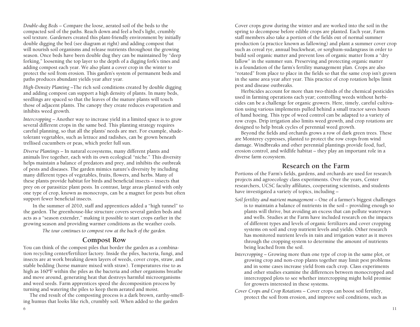*Double-dug Beds* – Compare the loose, aerated soil of the beds to the compacted soil of the paths. Reach down and feel a bed's light, crumbly soil texture. Gardeners created this plant-friendly environment by initially double digging the bed (see diagram at right) and adding compost that will nourish soil organisms and release nutrients throughout the growing season. Once beds have been double dug they can be maintained by "deep forking," loosening the top layer to the depth of a digging fork's tines and adding compost each year. We also plant a cover crop in the winter to protect the soil from erosion. This garden's system of permanent beds and paths produces abundant yields year after year.

*High-Density Planting* –The rich soil conditions created by double digging and adding compost can support a high density of plants. In many beds, seedlings are spaced so that the leaves of the mature plants will touch those of adjacent plants. The canopy they create reduces evaporation and inhibits weed growth.

*Intercropping* – Another way to increase yield in a limited space is to grow several different crops in the same bed. This planting strategy requires careful planning, so that all the plants' needs are met. For example, shadetolerant vegetables, such as lettuce and radishes, can be grown beneath trellised cucumbers or peas, which prefer full sun.

*Diverse Plantings* – In natural ecosystems, many different plants and animals live together, each with its own ecological "niche." This diversity helps maintain a balance of predators and prey, and inhibits the outbreak of pests and diseases. The garden mimics nature's diversity by including many different types of vegetables, fruits, flowers, and herbs. Many of these plants provide habitat for birds and beneficial insects – insects that prey on or parasitize plant pests. In contrast, large areas planted with only one type of crop, known as monocrops, can be a magnet for pests but often support fewer beneficial insects.

In the summer of 2010, staff and apprentices added a "high tunnel" to the garden. The greenhouse-like structure covers several garden beds and acts as a "season extender," making it possible to start crops earlier in the growing season and providing warmer conditions as the weather cools.

*The tour continues to compost row at the back of the garden.*

## **Compost Row**

You can think of the compost piles that border the garden as a combination recycling center/fertilizer factory. Inside the piles, bacteria, fungi, and insects are at work breaking down layers of weeds, cover crops, straw, and stable bedding (horse manure mixed with straw). Temperatures rise to as high as 160ºF within the piles as the bacteria and other organisms breathe and move around, generating heat that destroys harmful microorganisms and weed seeds. Farm apprentices speed the decomposition process by turning and watering the piles to keep them aerated and moist.

The end result of the composting process is a dark brown, earthy-smelling humus that looks like rich, crumbly soil. When added to the garden

Cover crops grow during the winter and are worked into the soil in the spring to decompose before edible crops are planted. Each year, Farm staff members also take a portion of the fields out of normal summer production (a practice known as fallowing) and plant a summer cover crop such as cereal rye, annual buckwheat, or sorghum-sudangrass in order to build soil organic matter and prevent loss of organic matter from a "dry fallow" in the summer sun. Preserving and protecting organic matter is a foundation of the farm's fertility management plan. Crops are also "rotated" from place to place in the fields so that the same crop isn't grown in the same area year after year. This practice of crop rotation helps limit pest and disease outbreaks.

Herbicides account for more than two-thirds of the chemical pesticides used in farming operations each year; controlling weeds without herbicides can be a challenge for organic growers. Here, timely, careful cultivation using various implements pulled behind a small tractor saves hours of hand hoeing. This type of weed control can be adapted to a variety of row crops. Drip irrigation also limits weed growth, and crop rotations are designed to help break cycles of perennial weed growth.

Beyond the fields and orchards grows a row of dark green trees. These are Monterey cypresses, planted to protect the row crops from wind damage. Windbreaks and other perennial plantings provide food, fuel, erosion control, and wildlife habitat – they play an important role in a diverse farm ecosystem.

## **Research on the Farm**

Portions of the Farm's fields, gardens, and orchards are used for research projects and agroecology class experiments. Over the years, Center researchers, UCSC faculty affiliates, cooperating scientists, and students have investigated a variety of topics, including –

- *Soil fertility and nutrient management* One of a farmer's biggest challenges is to maintain a balance of nutrients in the soil *–* providing enough so plants will thrive, but avoiding an excess that can pollute waterways and wells. Studies at the Farm have included research on the impacts of different types and levels of organic fertilizers and cover cropping systems on soil and crop nutrient levels and yields. Other research has monitored nutrient levels in rain and irrigation water as it moves through the cropping system to determine the amount of nutrients being leached from the soil.
- *Intercropping* Growing more than one type of crop in the same plot, or growing crop and non-crop plants together may limit pest problems and in some cases increase yield from each crop. Class experiments and other studies examine the differences between monocropped and intercropped plots to see whether intercropping might hold promise for growers interested in these systems.
- *Cover Crops and Crop Rotations* Cover crops can boost soil fertility, protect the soil from erosion, and improve soil conditions, such as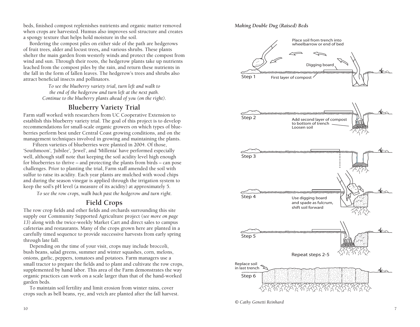beds, finished compost replenishes nutrients and organic matter removed when crops are harvested. Humus also improves soil structure and creates a spongy texture that helps hold moisture in the soil.

Bordering the compost piles on either side of the path are hedgerows of fruit trees, alder and locust trees, and various shrubs. These plants shelter the main garden from westerly winds and protect the compost from wind and sun. Through their roots, the hedgerow plants take up nutrients leached from the compost piles by the rain, and return these nutrients in the fall in the form of fallen leaves. The hedgerow's trees and shrubs also attract beneficial insects and pollinators.

> *To see the blueberry variety trial, turn left and walk to the end of the hedgerow and turn left at the next path. Continue to the blueberry plants ahead of you (on the right).*

# **Blueberry Variety Trial**

Farm staff worked with researchers from UC Cooperative Extension to establish this blueberry variety trial. The goal of this project is to develop recommendations for small-scale organic growers on which types of blue berries perform best under Central Coast growing conditions, and on the management techniques involved in growing and maintaining the plants.

Fifteen varieties of blueberries were planted in 2004. Of those, 'Southmoon', 'Jubilee', 'Jewel', and 'Millenia' have performed especially well, although staff note that keeping the soil acidity level high enough for blueberries to thrive – and protecting the plants from birds – can pose challenges. Prior to planting the trial, Farm staff amended the soil with sulfur to raise its acidity. Each year plants are mulched with wood chips and during the season vinegar is applied through the irrigation system to keep the soil's pH level (a measure of its acidity) at approximately 5.

*To see the row crops, walk back past the hedgerow and turn right.*

# **Field Crops**

The row crop fields and other fields and orchards surrounding this site supply our Community Supported Agriculture project (*see more on page 13*) along with the twice-weekly Market Cart and direct sales to campus cafeterias and restaurants. Many of the crops grown here are planted in a carefully timed sequence to provide successive harvests from early spring through late fall.

Depending on the time of your visit, crops may include broccoli, bush beans, salad greens, summer and winter squashes, corn, melons, onions, garlic, peppers, tomatoes and potatoes. Farm managers use a small tractor to prepare the fields and to plant and cultivate the row crops, supplemented by hand labor. This area of the Farm demonstrates the way organic practices can work on a scale larger than that of the hand-worked garden beds.

To maintain soil fertility and limit erosion from winter rains, cover crops such as bell beans, rye, and vetch are planted after the fall harvest.

#### *Making Double Dug (Raised) Beds*



*<sup>©</sup> Cathy Genetti Reinhard*